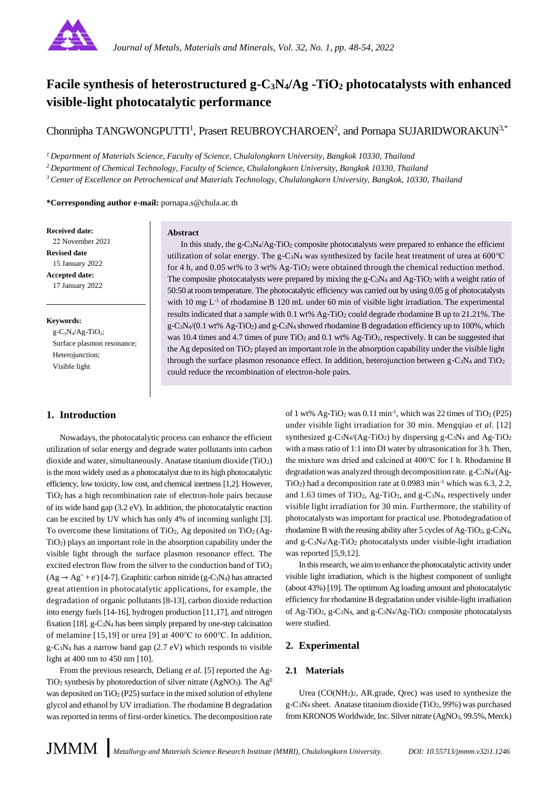

# **Facile synthesis of heterostructured g-C3N4/Ag -TiO<sup>2</sup> photocatalysts with enhanced visible-light photocatalytic performance**

Chonnipha TANGWONGPUTTI<sup>1</sup>, Prasert REUBROYCHAROEN<sup>2</sup>, and Pornapa SUJARIDWORAKUN<sup>3,\*</sup>

*<sup>1</sup>Department of Materials Science, Faculty of Science, Chulalongkorn University, Bangkok 10330, Thailand*

*<sup>2</sup>Department of Chemical Technology, Faculty of Science, Chulalongkorn University, Bangkok 10330, Thailand*

*<sup>3</sup>Center of Excellence on Petrochemical and Materials Technology, Chulalongkorn University, Bangkok, 10330, Thailand*

**\*Corresponding author e-mail:** pornapa.s@chula.ac.th

**Received date:** 22 November 2021 **Revised date** 15 January 2022 **Accepted date:** 17 January 2022

#### **Keywords:**

 $g-C_3N_4/Ag-TiO_2;$ Surface plasmon resonance; Heterojunction; Visible light

# **1. Introduction**

#### **Abstract**

In this study, the g-C<sub>3</sub>N<sub>4</sub>/Ag-TiO<sub>2</sub> composite photocatalysts were prepared to enhance the efficient utilization of solar energy. The g-C<sub>3</sub>N<sub>4</sub> was synthesized by facile heat treatment of urea at 600℃ for 4 h, and 0.05 wt% to 3 wt%  $Ag-TiO<sub>2</sub>$  were obtained through the chemical reduction method. The composite photocatalysts were prepared by mixing the g-C3N4 and Ag-TiO2 with a weight ratio of 50:50 at room temperature. The photocatalytic efficiency was carried out by using 0.05 g of photocatalysts with 10 mg·L<sup>-1</sup> of rhodamine B 120 mL under 60 min of visible light irradiation. The experimental results indicated that a sample with 0.1 wt% Ag-TiO<sub>2</sub> could degrade rhodamine B up to 21.21%. The  $g$ -C<sub>3</sub>N<sub>4</sub>/(0.1 wt% Ag-TiO<sub>2</sub>) and  $g$ -C<sub>3</sub>N<sub>4</sub> showed rhodamine B degradation efficiency up to 100%, which was 10.4 times and 4.7 times of pure TiO<sub>2</sub> and 0.1 wt% Ag-TiO<sub>2</sub>, respectively. It can be suggested that the Ag deposited on  $TiO<sub>2</sub>$  played an important role in the absorption capability under the visible light through the surface plasmon resonance effect. In addition, heterojunction between g-C<sub>3</sub>N<sub>4</sub> and TiO<sub>2</sub> could reduce the recombination of electron-hole pairs.

Nowadays, the photocatalytic process can enhance the efficient utilization of solar energy and degrade water pollutants into carbon dioxide and water, simultaneously. Anatase titanium dioxide (TiO2) is the most widely used as a photocatalyst due to its high photocatalytic efficiency, low toxicity, low cost, and chemical inertness [1,2]. However, TiO2 has a high recombination rate of electron-hole pairs because of its wide band gap (3.2 eV). In addition, the photocatalytic reaction can be excited by UV which has only 4% of incoming sunlight [3]. To overcome these limitations of TiO<sub>2</sub>, Ag deposited on TiO<sub>2</sub> (Ag-TiO2) plays an important role in the absorption capability under the visible light through the surface plasmon resonance effect. The excited electron flow from the silver to the conduction band of TiO<sup>2</sup>  $(Ag \rightarrow Ag^+ + e)$  [4-7]. Graphitic carbon nitride (g-C<sub>3</sub>N<sub>4</sub>) has attracted great attention in photocatalytic applications, for example, the degradation of organic pollutants [8-13], carbon dioxide reduction into energy fuels [14-16], hydrogen production [11,17], and nitrogen fixation [18].  $g-C_3N_4$  has been simply prepared by one-step calcination of melamine [15,19] or urea [9] at 400℃ to 600℃. In addition, g-C3N<sup>4</sup> has a narrow band gap (2.7 eV) which responds to visible light at 400 nm to 450 nm [10].

From the previous research, Deliang *et al.* [5] reported the Ag- $TiO<sub>2</sub>$  synthesis by photoreduction of silver nitrate (AgNO<sub>3</sub>). The Ag<sup>0</sup> was deposited on  $TiO<sub>2</sub>$  (P25) surface in the mixed solution of ethylene glycol and ethanol by UV irradiation. The rhodamine B degradation was reported in terms of first-order kinetics. The decomposition rate

of 1 wt% Ag-TiO<sub>2</sub> was  $0.11$  min<sup>-1</sup>, which was 22 times of TiO<sub>2</sub> (P25) under visible light irradiation for 30 min. Mengqiao *et al.* [12] synthesized g-C<sub>3</sub>N<sub>4</sub>/(Ag-TiO<sub>2</sub>) by dispersing g-C<sub>3</sub>N<sub>4</sub> and Ag-TiO<sub>2</sub> with a mass ratio of 1:1 into DI water by ultrasonication for 3 h. Then, the mixture was dried and calcined at 400℃ for 1 h. Rhodamine B degradation was analyzed through decomposition rate. g-C3N4/(Ag- $TiO<sub>2</sub>$ ) had a decomposition rate at 0.0983 min<sup>-1</sup> which was 6.3, 2.2, and 1.63 times of TiO2, Ag-TiO2, and g-C3N4, respectively under visible light irradiation for 30 min. Furthermore, the stability of photocatalysts was important for practical use. Photodegradation of rhodamine B with the reusing ability after 5 cycles of Ag-TiO2, g-C3N4, and g-C3N4/Ag-TiO<sup>2</sup> photocatalysts under visible-light irradiation was reported [5,9,12].

In this research, we aim to enhance the photocatalytic activity under visible light irradiation, which is the highest component of sunlight (about 43%) [19]. The optimum Ag loading amount and photocatalytic efficiency for rhodamine B degradation under visible-light irradiation of Ag-TiO<sub>2</sub>, g-C<sub>3</sub>N<sub>4</sub>, and g-C<sub>3</sub>N<sub>4</sub>/Ag-TiO<sub>2</sub> composite photocatalysts were studied.

# **2. Experimental**

# **2.1 Materials**

Urea  $(CO(NH<sub>2</sub>)<sub>2</sub>$ , AR.grade, Qrec) was used to synthesize the  $g - C_3N_4$  sheet. Anatase titanium dioxide (TiO<sub>2</sub>, 99%) was purchased from KRONOS Worldwide, Inc. Silver nitrate (AgNO3, 99.5%, Merck)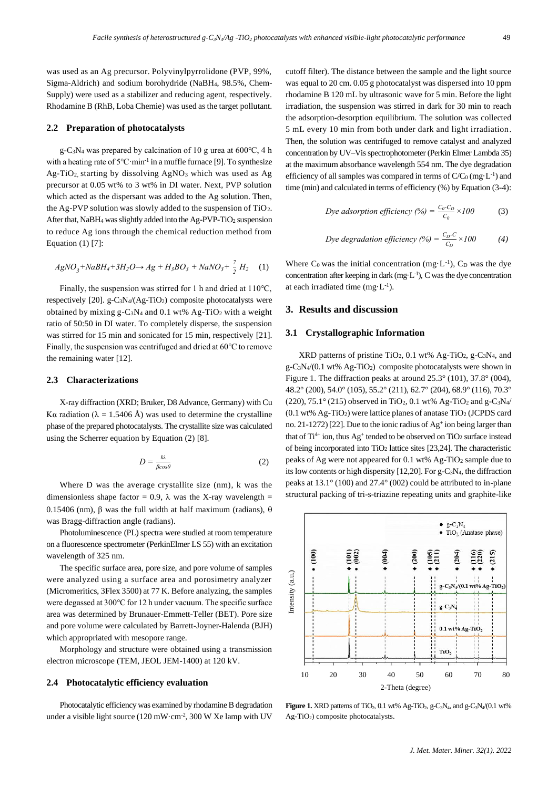was used as an Ag precursor. Polyvinylpyrrolidone (PVP, 99%, Sigma-Aldrich) and sodium borohydride (NaBH4, 98.5%, Chem-Supply) were used as a stabilizer and reducing agent, respectively. Rhodamine B (RhB, Loba Chemie) was used as the target pollutant.

## **2.2 Preparation of photocatalysts**

g-C3N<sup>4</sup> was prepared by calcination of 10 g urea at 600℃, 4 h with a heating rate of 5°C·min<sup>-1</sup> in a muffle furnace [9]. To synthesize  $Ag-TiO<sub>2</sub>$  starting by dissolving  $AgNO<sub>3</sub>$  which was used as Ag precursor at 0.05 wt% to 3 wt% in DI water. Next, PVP solution which acted as the dispersant was added to the Ag solution. Then, the Ag-PVP solution was slowly added to the suspension of TiO2. After that, NaBH<sub>4</sub> was slightly added into the Ag-PVP-TiO<sub>2</sub> suspension to reduce Ag ions through the chemical reduction method from Equation (1) [7]:

$$
AgNO_3 + NaBH_4 + 3H_2O \to Ag + H_3BO_3 + NaNO_3 + \frac{7}{2}H_2
$$
 (1)

Finally, the suspension was stirred for 1 h and dried at 110℃, respectively [20]. g-C3N4/(Ag-TiO2) composite photocatalysts were obtained by mixing g-C3N<sup>4</sup> and 0.1 wt% Ag-TiO<sup>2</sup> with a weight ratio of 50:50 in DI water. To completely disperse, the suspension was stirred for 15 min and sonicated for 15 min, respectively [21]. Finally, the suspension was centrifuged and dried at 60℃ to remove the remaining water [12].

#### **2.3 Characterizations**

X-ray diffraction (XRD; Bruker, D8 Advance, Germany) with Cu Kα radiation ( $\lambda = 1.5406$  Å) was used to determine the crystalline phase of the prepared photocatalysts. The crystallite size was calculated using the Scherrer equation by Equation (2) [8].

$$
D = \frac{k\lambda}{\beta cos \theta} \tag{2}
$$

Where D was the average crystallite size (nm), k was the dimensionless shape factor = 0.9,  $\lambda$  was the X-ray wavelength = 0.15406 (nm), β was the full width at half maximum (radians),  $θ$ was Bragg-diffraction angle (radians).

Photoluminescence (PL) spectra were studied at room temperature on a fluorescence spectrometer (PerkinElmer LS 55) with an excitation wavelength of 325 nm.

The specific surface area, pore size, and pore volume of samples were analyzed using a surface area and porosimetry analyzer (Micromeritics, 3Flex 3500) at 77 K. Before analyzing, the samples were degassed at 300℃ for 12 h under vacuum. The specific surface area was determined by Brunauer-Emmett-Teller (BET). Pore size and pore volume were calculated by Barrett-Joyner-Halenda (BJH) which appropriated with mesopore range.

Morphology and structure were obtained using a transmission electron microscope (TEM, JEOL JEM-1400) at 120 kV.

#### **2.4 Photocatalytic efficiency evaluation**

Photocatalytic efficiency was examined by rhodamine B degradation under a visible light source (120 mW·cm<sup>-2</sup>, 300 W Xe lamp with UV

cutoff filter). The distance between the sample and the light source was equal to 20 cm. 0.05 g photocatalyst was dispersed into 10 ppm rhodamine B 120 mL by ultrasonic wave for 5 min. Before the light irradiation, the suspension was stirred in dark for 30 min to reach the adsorption-desorption equilibrium. The solution was collected 5 mL every 10 min from both under dark and light irradiation. Then, the solution was centrifuged to remove catalyst and analyzed concentration by UV–Vis spectrophotometer (Perkin Elmer Lambda 35) at the maximum absorbance wavelength 554 nm. The dye degradation efficiency of all samples was compared in terms of  $C/C<sub>0</sub>$  (mg·L<sup>-1</sup>) and time (min) and calculated in terms of efficiency (%) by Equation (3-4):

$$
Dye adsorption efficiency (%) = \frac{C_0 - C_D}{C_0} \times 100
$$
 (3)

$$
Dye \, degradation \, efficiency \, (%) = \frac{C_D-C}{C_D} \times 100 \tag{4}
$$

Where  $C_0$  was the initial concentration (mg·L<sup>-1</sup>),  $C_D$  was the dye concentration after keeping in dark (mg·L-1 ), C was the dye concentration at each irradiated time  $(mg \cdot L^{-1})$ .

#### **3. Results and discussion**

## **3.1 Crystallographic Information**

XRD patterns of pristine TiO<sub>2</sub>, 0.1 wt% Ag-TiO<sub>2</sub>, g-C<sub>3</sub>N<sub>4</sub>, and g-C3N4/(0.1 wt% Ag-TiO2) composite photocatalysts were shown in Figure 1. The diffraction peaks at around 25.3° (101), 37.8° (004), 48.2° (200), 54.0° (105), 55.2° (211), 62.7° (204), 68.9° (116), 70.3° (220), 75.1° (215) observed in TiO<sub>2</sub>, 0.1 wt% Ag-TiO<sub>2</sub> and g-C<sub>3</sub>N<sub>4</sub>/  $(0.1 \text{ wt\% Ag-TiO}_2)$  were lattice planes of anatase TiO<sub>2</sub> (JCPDS card no. 21-1272) [22]. Due to the ionic radius of Ag<sup>+</sup> ion being larger than that of  $Ti^{4+}$  ion, thus  $Ag^+$  tended to be observed on  $TiO_2$  surface instead of being incorporated into  $TiO<sub>2</sub>$  lattice sites [23,24]. The characteristic peaks of Ag were not appeared for 0.1 wt% Ag-TiO<sup>2</sup> sample due to its low contents or high dispersity [12,20]. For g-C3N4, the diffraction peaks at 13.1° (100) and 27.4° (002) could be attributed to in-plane structural packing of tri-s-triazine repeating units and graphite-like



**Figure 1.** XRD patterns of TiO<sub>2</sub>, 0.1 wt% Ag-TiO<sub>2</sub>, g-C<sub>3</sub>N<sub>4</sub>, and g-C<sub>3</sub>N<sub>4</sub>/(0.1 wt%)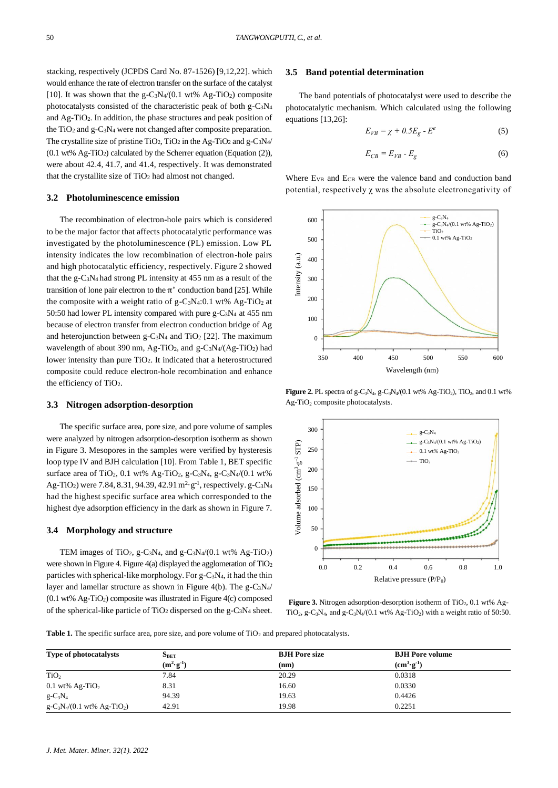stacking, respectively (JCPDS Card No. 87-1526) [9,12,22]. which would enhance the rate of electron transfer on the surface of the catalyst [10]. It was shown that the g-C<sub>3</sub>N<sub>4</sub>/(0.1 wt% Ag-T<sub>i</sub>O<sub>2</sub>) composite photocatalysts consisted of the characteristic peak of both g-C3N<sup>4</sup> and Ag-TiO2. In addition, the phase structures and peak position of the  $TiO<sub>2</sub>$  and g-C<sub>3</sub>N<sub>4</sub> were not changed after composite preparation. The crystallite size of pristine TiO<sub>2</sub>, TiO<sub>2</sub> in the Ag-TiO<sub>2</sub> and g-C<sub>3</sub>N<sub>4</sub>/  $(0.1 \text{ wt\% Ag-TiO}_2)$  calculated by the Scherrer equation (Equation (2)), were about 42.4, 41.7, and 41.4, respectively. It was demonstrated that the crystallite size of TiO<sup>2</sup> had almost not changed.

# **3.2 Photoluminescence emission**

The recombination of electron-hole pairs which is considered to be the major factor that affects photocatalytic performance was investigated by the photoluminescence (PL) emission. Low PL intensity indicates the low recombination of electron-hole pairs and high photocatalytic efficiency, respectively. Figure 2 showed that the g-C3N4 had strong PL intensity at 455 nm as a result of the transition of lone pair electron to the  $\pi^*$  conduction band [25]. While the composite with a weight ratio of  $g - C_3N_4$ :0.1 wt% Ag-TiO<sub>2</sub> at 50:50 had lower PL intensity compared with pure g-C3N4 at 455 nm because of electron transfer from electron conduction bridge of Ag and heterojunction between g-C<sub>3</sub>N<sub>4</sub> and TiO<sub>2</sub> [22]. The maximum wavelength of about 390 nm, Ag-TiO<sub>2</sub>, and g-C<sub>3</sub>N<sub>4</sub>/(Ag-TiO<sub>2</sub>) had lower intensity than pure TiO2. It indicated that a heterostructured composite could reduce electron-hole recombination and enhance the efficiency of TiO<sub>2</sub>. nicensity innicentes the bow recontrinuitor of electron-biole particles with the g-CN4 intensity at 45.95 mm as a result of the specific system and helian terms (a.u.) and the g-CN4 internal terms and the g-CN4 internal t

#### **3.3 Nitrogen adsorption-desorption**

The specific surface area, pore size, and pore volume of samples were analyzed by nitrogen adsorption-desorption isotherm as shown in Figure 3. Mesopores in the samples were verified by hysteresis loop type IV and BJH calculation [10]. From Table 1, BET specific surface area of TiO<sub>2</sub>, 0.1 wt% Ag-TiO<sub>2</sub>, g-C<sub>3</sub>N<sub>4</sub>, g-C<sub>3</sub>N<sub>4</sub>/(0.1 wt%) Ag-TiO<sub>2</sub>) were 7.84, 8.31, 94.39, 42.91 m<sup>2</sup> g<sup>-1</sup>, respectively. g-C<sub>3</sub>N<sub>4</sub> had the highest specific surface area which corresponded to the highest dye adsorption efficiency in the dark as shown in Figure 7.

## **3.4 Morphology and structure**

TEM images of TiO<sub>2</sub>, g-C<sub>3</sub>N<sub>4</sub>, and g-C<sub>3</sub>N<sub>4</sub>/(0.1 wt% Ag-TiO<sub>2</sub>) were shown in Figure 4. Figure 4(a) displayed the agglomeration of  $TiO<sub>2</sub>$ particles with spherical-like morphology. For g-C3N4, it had the thin layer and lamellar structure as shown in Figure 4(b). The g-C3N4/ (0.1 wt% Ag-TiO2) composite was illustrated in Figure 4(c) composed of the spherical-like particle of  $TiO<sub>2</sub>$  dispersed on the g-C<sub>3</sub>N<sub>4</sub> sheet.

#### **3.5 Band potential determination**

The band potentials of photocatalyst were used to describe the photocatalytic mechanism. Which calculated using the following equations [13,26]:

$$
E_{VB} = \chi + 0.5E_g - E^e \tag{5}
$$

$$
E_{CB} = E_{VB} - E_g \tag{6}
$$

Where E<sub>VB</sub> and E<sub>CB</sub> were the valence band and conduction band potential, respectively  $\chi$  was the absolute electronegativity of



**Figure 2.** PL spectra of g-C<sub>3</sub>N<sub>4</sub>, g-C<sub>3</sub>N<sub>4</sub>/(0.1 wt% Ag-TiO<sub>2</sub>), TiO<sub>2</sub>, and 0.1 wt% Ag-TiO<sub>2</sub> composite photocatalysts.



**Figure 3.** Nitrogen adsorption-desorption isotherm of  $TiO<sub>2</sub>$ , 0.1 wt% Ag-TiO<sub>2</sub>, g-C<sub>3</sub>N<sub>4</sub>, and g-C<sub>3</sub>N<sub>4</sub>/(0.1 wt% Ag-TiO<sub>2</sub>) with a weight ratio of 50:50.

**Table 1.** The specific surface area, pore size, and pore volume of TiO<sub>2</sub> and prepared photocatalysts.

| <b>Type of photocatalysts</b>               | $\mathbf{S}_{\text{BET}}$ | <b>BJH</b> Pore size | <b>BJH</b> Pore volume                  |  |
|---------------------------------------------|---------------------------|----------------------|-----------------------------------------|--|
|                                             | $(m^2 \cdot g^{-1})$      | (nm)                 | $(\mathbf{cm}^3 \cdot \mathbf{g}^{-1})$ |  |
| TiO <sub>2</sub>                            | 7.84                      | 20.29                | 0.0318                                  |  |
| $0.1$ wt% Ag-TiO <sub>2</sub>               | 8.31                      | 16.60                | 0.0330                                  |  |
| $g - C_3 N_4$                               | 94.39                     | 19.63                | 0.4426                                  |  |
| $g - C_3 N_4 / (0.1 \text{ wt\% Ag-TiO}_2)$ | 42.91                     | 19.98                | 0.2251                                  |  |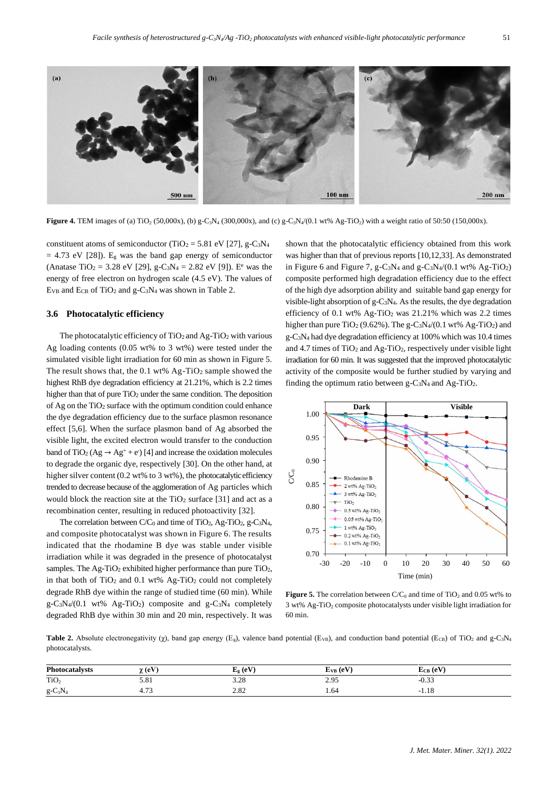

**Figure 4.** TEM images of (a) TiO<sub>2</sub> (50,000x), (b) g-C<sub>3</sub>N<sub>4</sub> (300,000x), and (c) g-C<sub>3</sub>N<sub>4</sub>/(0.1 wt% Ag-TiO<sub>2</sub>) with a weight ratio of 50:50 (150,000x).

constituent atoms of semiconductor (TiO<sub>2</sub> = 5.81 eV [27], g-C<sub>3</sub>N<sub>4</sub>  $= 4.73$  eV [28]). E<sub>g</sub> was the band gap energy of semiconductor (Anatase TiO<sub>2</sub> = 3.28 eV [29], g-C<sub>3</sub>N<sub>4</sub> = 2.82 eV [9]). E<sup>e</sup> was the energy of free electron on hydrogen scale (4.5 eV). The values of Ev<sub>B</sub> and E<sub>CB</sub> of TiO<sub>2</sub> and g-C<sub>3</sub>N<sub>4</sub> was shown in Table 2.

#### **3.6 Photocatalytic efficiency**

The photocatalytic efficiency of  $TiO<sub>2</sub>$  and Ag-TiO<sub>2</sub> with various Ag loading contents (0.05 wt% to 3 wt%) were tested under the simulated visible light irradiation for 60 min as shown in Figure 5. The result shows that, the 0.1 wt% Ag-TiO<sub>2</sub> sample showed the highest RhB dye degradation efficiency at 21.21%, which is 2.2 times higher than that of pure TiO<sub>2</sub> under the same condition. The deposition of Ag on the  $TiO<sub>2</sub>$  surface with the optimum condition could enhance the dye degradation efficiency due to the surface plasmon resonance effect [5,6]. When the surface plasmon band of Ag absorbed the visible light, the excited electron would transfer to the conduction band of TiO<sub>2</sub> (Ag  $\rightarrow$  Ag<sup>+</sup> + e<sup>-</sup>) [4] and increase the oxidation molecules to degrade the organic dye, respectively [30]. On the other hand, at higher silver content (0.2 wt% to 3 wt%), the photocatalytic efficiency trended to decrease because of the agglomeration of Ag particles which would block the reaction site at the  $TiO<sub>2</sub>$  surface [31] and act as a recombination center, resulting in reduced photoactivity [32].

The correlation between  $C/C_0$  and time of TiO<sub>2</sub>, Ag-TiO<sub>2</sub>, g-C<sub>3</sub>N<sub>4</sub>, and composite photocatalyst was shown in Figure 6. The results indicated that the rhodamine B dye was stable under visible irradiation while it was degraded in the presence of photocatalyst samples. The Ag-TiO<sub>2</sub> exhibited higher performance than pure TiO<sub>2</sub>, in that both of  $TiO<sub>2</sub>$  and 0.1 wt% Ag-TiO<sub>2</sub> could not completely degrade RhB dye within the range of studied time (60 min). While  $g - C_3N_4/(0.1 \text{ wt\%} \text{ Ag-TiO}_2)$  composite and  $g - C_3N_4$  completely degraded RhB dye within 30 min and 20 min, respectively. It was

shown that the photocatalytic efficiency obtained from this work was higher than that of previous reports [10,12,33]. As demonstrated in Figure 6 and Figure 7, g-C<sub>3</sub>N<sub>4</sub> and g-C<sub>3</sub>N<sub>4</sub>/(0.1 wt% Ag-TiO<sub>2</sub>) composite performed high degradation efficiency due to the effect of the high dye adsorption ability and suitable band gap energy for visible-light absorption of g-C3N4. As the results, the dye degradation efficiency of 0.1 wt% Ag-TiO<sub>2</sub> was 21.21% which was 2.2 times higher than pure  $TiO<sub>2</sub>$  (9.62%). The g-C<sub>3</sub>N<sub>4</sub>/(0.1 wt% Ag-TiO<sub>2</sub>) and g-C3N<sup>4</sup> had dye degradation efficiency at 100% which was 10.4 times and 4.7 times of  $TiO<sub>2</sub>$  and Ag-TiO<sub>2</sub>, respectively under visible light irradiation for 60 min. It was suggested that the improved photocatalytic activity of the composite would be further studied by varying and finding the optimum ratio between  $g - C_3N_4$  and Ag-TiO<sub>2</sub>.



**Figure 5.** The correlation between  $C/C_0$  and time of TiO<sub>2</sub> and 0.05 wt% to 3 wt% Ag-TiO<sup>2</sup> composite photocatalysts under visible light irradiation for 60 min.

**Table 2.** Absolute electronegativity ( $\chi$ ), band gap energy (E<sub>g</sub>), valence band potential (E<sub>VB</sub>), and conduction band potential (E<sub>CB</sub>) of TiO<sub>2</sub> and g-C<sub>3</sub>N<sub>4</sub> photocatalysts.

| <b>Photocatalysts</b> | $\gamma$ (eV)         | $E_{\alpha}$ (eV) | $E_{VB}$ (eV) | $E_{CB}$ (eV)  |
|-----------------------|-----------------------|-------------------|---------------|----------------|
| TiO <sub>2</sub>      | <b>ະ</b> ດ 1<br>J.O.I | 2.20<br>3.20      | ን 05<br>2.7J  | 0.22<br>$-U.5$ |
| $g-C_3N_4$            | $\sim$<br>4.79        | റ റെ<br>2.02      | 1.64          | 1.10<br>- 1    |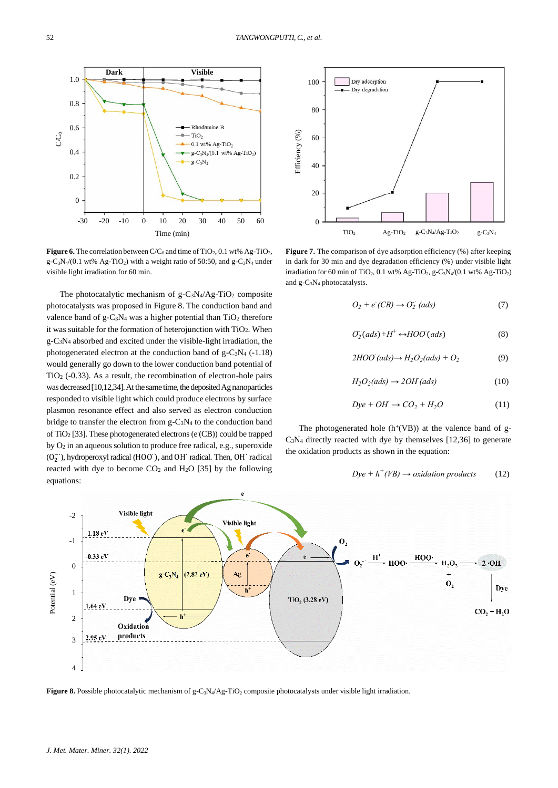**Figure 6.** The correlation between  $C/C_0$  and time of TiO<sub>2</sub>, 0.1 wt% Ag-TiO<sub>2</sub>,  $g - C_3N_4/(0.1 \text{ wt\% Ag-TiO}_2)$  with a weight ratio of 50:50, and  $g - C_3N_4$  under visible light irradiation for 60 min.

Time (min) -30 -20 -10 0 10 20 30 40 50 60

- Rhodamine B

**Dark Visible**

The photocatalytic mechanism of  $g - C_3N_4/Ag - TiO_2$  composite photocatalysts was proposed in Figure 8. The conduction band and valence band of  $g-C_3N_4$  was a higher potential than  $TiO_2$  therefore it was suitable for the formation of heterojunction with TiO2. When g-C3N<sup>4</sup> absorbed and excited under the visible-light irradiation, the photogenerated electron at the conduction band of  $g-C_3N_4$  (-1.18) would generally go down to the lower conduction band potential of TiO<sup>2</sup> (-0.33). As a result, the recombination of electron-hole pairs was decreased [10,12,34]. At the same time, the deposited Ag nanoparticles responded to visible light which could produce electrons by surface plasmon resonance effect and also served as electron conduction bridge to transfer the electron from g-C3N<sup>4</sup> to the conduction band of TiO<sub>2</sub> [33]. These photogenerated electrons (e<sup>-</sup>(CB)) could be trapped by O<sup>2</sup> in an aqueous solution to produce free radical, e.g., superoxide (O<sup>2</sup> −∙ ), hydroperoxyl radical (HOO<sup>∙</sup> ), and OH<sup>∙</sup> radical. Then, OH<sup>∙</sup> radical reacted with dye to become  $CO<sub>2</sub>$  and  $H<sub>2</sub>O$  [35] by the following equations:

Dry adsorption 100 Dry degradation 80 Efficiency (%) 60 40 20  $\Omega$  $TiO<sub>2</sub>$  Ag-TiO<sub>2</sub> g-C<sub>3</sub>N<sub>4</sub>/Ag-TiO<sub>2</sub> g-C<sub>3</sub>N<sub>4</sub>

Figure 7. The comparison of dye adsorption efficiency (%) after keeping in dark for 30 min and dye degradation efficiency (%) under visible light irradiation for 60 min of TiO<sub>2</sub>, 0.1 wt% Ag-TiO<sub>2</sub>, g-C<sub>3</sub>N<sub>4</sub>/(0.1 wt% Ag-TiO<sub>2</sub>) and g-C3N<sup>4</sup> photocatalysts.

$$
O_2 + e^-(CB) \to O_2^-(ads) \tag{7}
$$

$$
O_2^-(ads) + H^+ \leftrightarrow HOO\ (ads)
$$
 (8)

$$
2HOO (ads) \rightarrow H_2O_2 (ads) + O_2
$$
 (9)

$$
H_2O_2(ads) \to 2OH\,(ads)
$$
\n(10)

$$
Dye + OH \rightarrow CO_2 + H_2O \tag{11}
$$

The photogenerated hole  $(h<sup>+</sup>(VB))$  at the valence band of g-C3N<sup>4</sup> directly reacted with dye by themselves [12,36] to generate the oxidation products as shown in the equation:

$$
Dye + h^+(VB) \to oxidation\ products \tag{12}
$$



0.4

0.2

0

1.0

0.8

0.6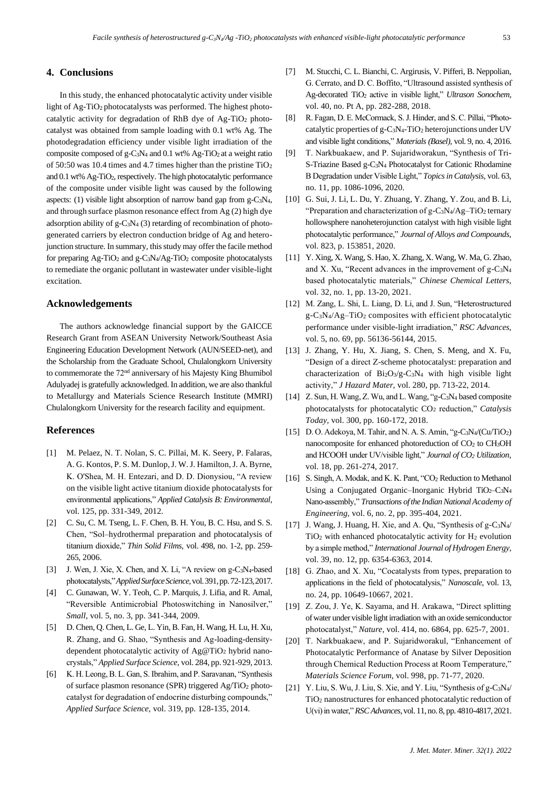## **4. Conclusions**

In this study, the enhanced photocatalytic activity under visible light of Ag-TiO2 photocatalysts was performed. The highest photocatalytic activity for degradation of RhB dye of Ag-TiO<sup>2</sup> photocatalyst was obtained from sample loading with 0.1 wt% Ag. The photodegradation efficiency under visible light irradiation of the composite composed of g-C<sub>3</sub>N<sub>4</sub> and 0.1 wt% Ag-TiO<sub>2</sub> at a weight ratio of 50:50 was 10.4 times and 4.7 times higher than the pristine TiO<sup>2</sup> and 0.1 wt% Ag-TiO2, respectively. The high photocatalytic performance of the composite under visible light was caused by the following aspects: (1) visible light absorption of narrow band gap from g-C3N4, and through surface plasmon resonance effect from Ag (2) high dye adsorption ability of  $g - C_3N_4$  (3) retarding of recombination of photogenerated carriers by electron conduction bridge of Ag and heterojunction structure. In summary, this study may offer the facile method for preparing  $Ag-TiO<sub>2</sub>$  and  $g-C<sub>3</sub>N<sub>4</sub>/Ag-TiO<sub>2</sub>$  composite photocatalysts to remediate the organic pollutant in wastewater under visible-light excitation.

## **Acknowledgements**

The authors acknowledge financial support by the GAICCE Research Grant from ASEAN University Network/Southeast Asia Engineering Education Development Network (AUN/SEED-net), and the Scholarship from the Graduate School, Chulalongkorn University to commemorate the 72nd anniversary of his Majesty King Bhumibol Adulyadej is gratefully acknowledged. In addition, we are also thankful to Metallurgy and Materials Science Research Institute (MMRI) Chulalongkorn University for the research facility and equipment.

# **References**

- [1] M. Pelaez, N. T. Nolan, S. C. Pillai, M. K. Seery, P. Falaras, A. G. Kontos, P. S. M. Dunlop, J. W. J. Hamilton, J. A. Byrne, K. O'Shea, M. H. Entezari, and D. D. Dionysiou, "A review on the visible light active titanium dioxide photocatalysts for environmental applications," *Applied Catalysis B: Environmental,* vol. 125, pp. 331-349, 2012.
- [2] C. Su, C. M. Tseng, L. F. Chen, B. H. You, B. C. Hsu, and S. S. Chen, "Sol–hydrothermal preparation and photocatalysis of titanium dioxide," *Thin Solid Films,* vol. 498, no. 1-2, pp. 259- 265, 2006.
- [3] J. Wen, J. Xie, X. Chen, and X. Li, "A review on g-C<sub>3</sub>N<sub>4</sub>-based photocatalysts," *Applied Surface Science,*vol. 391, pp. 72-123, 2017.
- [4] C. Gunawan, W. Y. Teoh, C. P. Marquis, J. Lifia, and R. Amal, "Reversible Antimicrobial Photoswitching in Nanosilver," *Small,* vol. 5, no. 3, pp. 341-344, 2009.
- [5] D. Chen, Q. Chen, L. Ge, L. Yin, B. Fan, H. Wang, H. Lu, H. Xu, R. Zhang, and G. Shao, "Synthesis and Ag-loading-densitydependent photocatalytic activity of Ag@TiO<sup>2</sup> hybrid nanocrystals," *Applied Surface Science,* vol. 284, pp. 921-929, 2013.
- [6] K. H. Leong, B. L. Gan, S. Ibrahim, and P. Saravanan, "Synthesis of surface plasmon resonance (SPR) triggered  $Ag/TiO<sub>2</sub>$  photocatalyst for degradation of endocrine disturbing compounds," *Applied Surface Science,* vol. 319, pp. 128-135, 2014.
- [7] M. Stucchi, C. L. Bianchi, C. Argirusis, V. Pifferi, B. Neppolian, G. Cerrato, and D. C. Boffito, "Ultrasound assisted synthesis of Ag-decorated TiO<sup>2</sup> active in visible light," *Ultrason Sonochem,* vol. 40, no. Pt A, pp. 282-288, 2018.
- [8] R. Fagan, D. E. McCormack, S. J. Hinder, and S. C. Pillai, "Photocatalytic properties of g-C3N4-TiO<sup>2</sup> heterojunctions under UV and visible light conditions," *Materials (Basel),* vol. 9, no. 4, 2016.
- [9] T. Narkbuakaew, and P. Sujaridworakun, "Synthesis of Tri-S-Triazine Based g-C3N<sup>4</sup> Photocatalyst for Cationic Rhodamine B Degradation under Visible Light," *Topics in Catalysis,* vol. 63, no. 11, pp. 1086-1096, 2020.
- [10] G. Sui, J. Li, L. Du, Y. Zhuang, Y. Zhang, Y. Zou, and B. Li, "Preparation and characterization of g-C<sub>3</sub>N<sub>4</sub>/Ag–TiO<sub>2</sub> ternary hollowsphere nanoheterojunction catalyst with high visible light photocatalytic performance," *Journal of Alloys and Compounds,* vol. 823, p. 153851, 2020.
- [11] Y. Xing, X. Wang, S. Hao, X. Zhang, X. Wang, W. Ma, G. Zhao, and X. Xu, "Recent advances in the improvement of g-C3N<sup>4</sup> based photocatalytic materials," *Chinese Chemical Letters,* vol. 32, no. 1, pp. 13-20, 2021.
- [12] M. Zang, L. Shi, L. Liang, D. Li, and J. Sun, "Heterostructured g-C3N4/Ag–TiO<sup>2</sup> composites with efficient photocatalytic performance under visible-light irradiation," *RSC Advances,* vol. 5, no. 69, pp. 56136-56144, 2015.
- [13] J. Zhang, Y. Hu, X. Jiang, S. Chen, S. Meng, and X. Fu, "Design of a direct Z-scheme photocatalyst: preparation and characterization of Bi2O3/g-C3N<sup>4</sup> with high visible light activity," *J Hazard Mater,* vol. 280, pp. 713-22, 2014.
- [14] Z. Sun, H. Wang, Z. Wu, and L. Wang, "g-C<sub>3</sub>N<sub>4</sub> based composite photocatalysts for photocatalytic CO<sup>2</sup> reduction," *Catalysis Today,* vol. 300, pp. 160-172, 2018.
- [15] D. O. Adekoya, M. Tahir, and N. A. S. Amin, "g-C<sub>3</sub>N<sub>4</sub>/(Cu/TiO<sub>2</sub>) nanocomposite for enhanced photoreduction of CO<sup>2</sup> to CH3OH and HCOOH under UV/visible light," *Journal of CO<sup>2</sup> Utilization,* vol. 18, pp. 261-274, 2017.
- [16] S. Singh, A. Modak, and K. K. Pant, "CO<sub>2</sub> Reduction to Methanol Using a Conjugated Organic–Inorganic Hybrid  $TiO<sub>2</sub>-C<sub>3</sub>N<sub>4</sub>$ Nano-assembly," *Transactions of the Indian National Academy of Engineering,* vol. 6, no. 2, pp. 395-404, 2021.
- [17] J. Wang, J. Huang, H. Xie, and A. Qu, "Synthesis of g-C3N4/ TiO<sup>2</sup> with enhanced photocatalytic activity for H<sup>2</sup> evolution by a simple method," *International Journal of Hydrogen Energy,* vol. 39, no. 12, pp. 6354-6363, 2014.
- [18] G. Zhao, and X. Xu, "Cocatalysts from types, preparation to applications in the field of photocatalysis," *Nanoscale,* vol. 13, no. 24, pp. 10649-10667, 2021.
- [19] Z. Zou, J. Ye, K. Sayama, and H. Arakawa, "Direct splitting of water under visible light irradiation with an oxide semiconductor photocatalyst," *Nature,* vol. 414, no. 6864, pp. 625-7, 2001.
- [20] T. Narkbuakaew, and P. Sujaridworakul, "Enhancement of Photocatalytic Performance of Anatase by Silver Deposition through Chemical Reduction Process at Room Temperature," *Materials Science Forum,* vol. 998, pp. 71-77, 2020.
- [21] Y. Liu, S. Wu, J. Liu, S. Xie, and Y. Liu, "Synthesis of g-C3N4/ TiO<sup>2</sup> nanostructures for enhanced photocatalytic reduction of U(vi) in water," *RSC Advances,*vol. 11, no. 8, pp. 4810-4817, 2021.